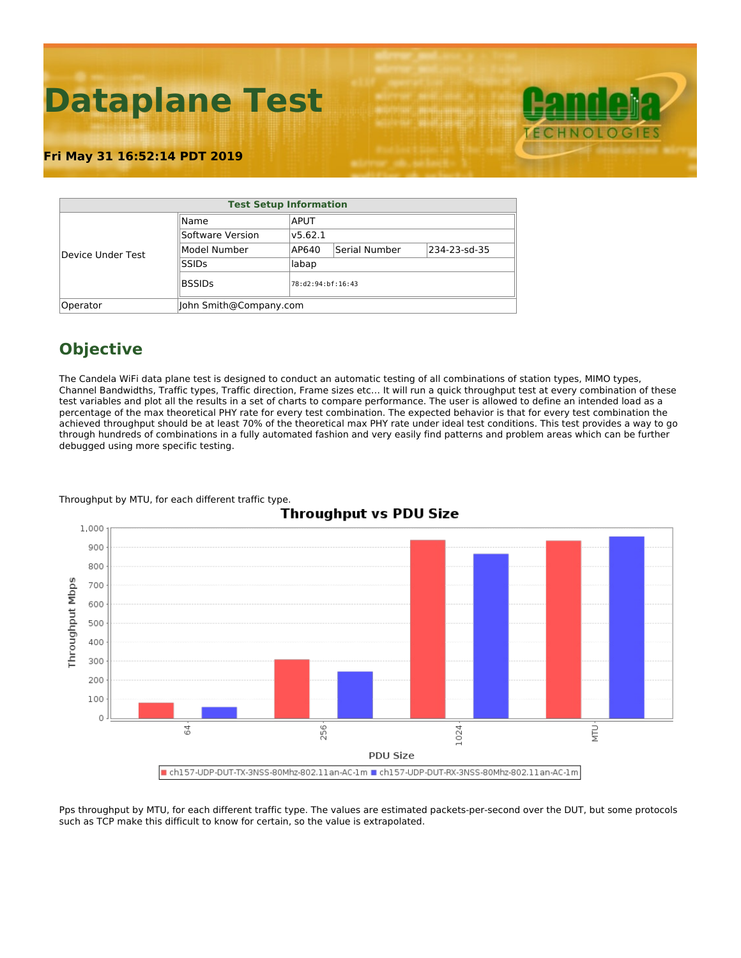# **Dataplane Test**

### **Fri May 31 16:52:14 PDT 2019**

| <b>Test Setup Information</b> |                        |         |                   |              |  |  |  |  |  |  |
|-------------------------------|------------------------|---------|-------------------|--------------|--|--|--|--|--|--|
| Device Under Test             | Name                   |         |                   |              |  |  |  |  |  |  |
|                               | Software Version       | v5.62.1 |                   |              |  |  |  |  |  |  |
|                               | Model Number           | AP640   | Serial Number     | 234-23-sd-35 |  |  |  |  |  |  |
|                               | <b>SSIDs</b>           | labap   |                   |              |  |  |  |  |  |  |
|                               | <b>BSSIDs</b>          |         | 78:d2:94:bf:16:43 |              |  |  |  |  |  |  |
| Operator                      | John Smith@Company.com |         |                   |              |  |  |  |  |  |  |

## **Objective**

The Candela WiFi data plane test is designed to conduct an automatic testing of all combinations of station types, MIMO types, Channel Bandwidths, Traffic types, Traffic direction, Frame sizes etc… It will run a quick throughput test at every combination of these test variables and plot all the results in a set of charts to compare performance. The user is allowed to define an intended load as a percentage of the max theoretical PHY rate for every test combination. The expected behavior is that for every test combination the achieved throughput should be at least 70% of the theoretical max PHY rate under ideal test conditions. This test provides a way to go through hundreds of combinations in a fully automated fashion and very easily find patterns and problem areas which can be further debugged using more specific testing.



#### Throughput by MTU, for each different traffic type.

Pps throughput by MTU, for each different traffic type. The values are estimated packets-per-second over the DUT, but some protocols such as TCP make this difficult to know for certain, so the value is extrapolated.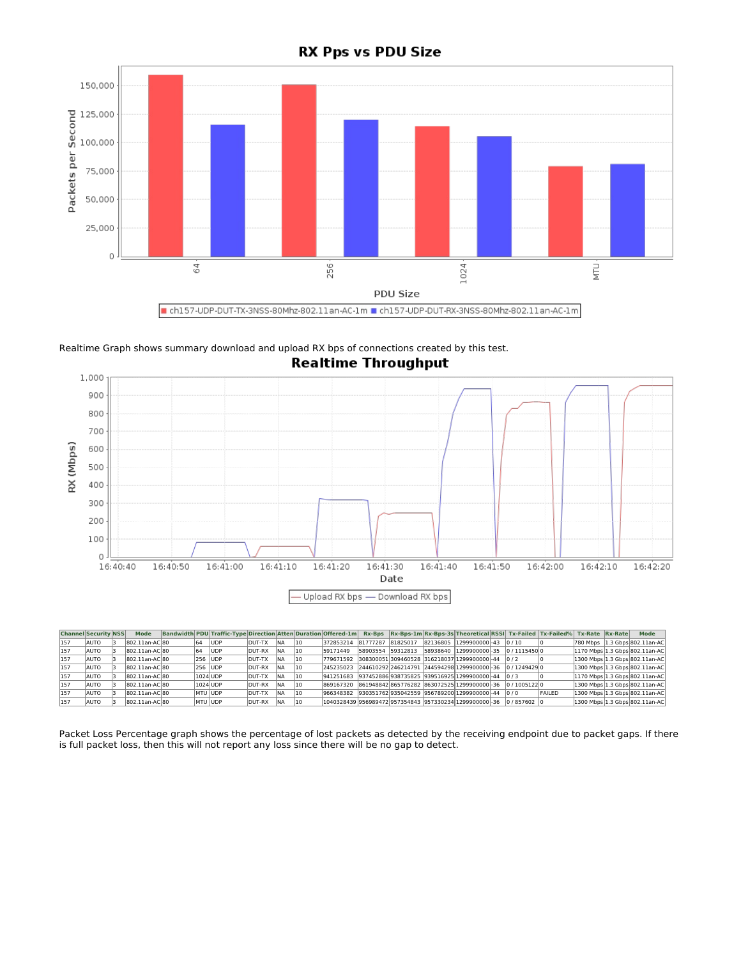

Realtime Graph shows summary download and upload RX bps of connections created by this test. **Realtime Throughput** 



|     | <b>Channel Security NSS</b> | <b>Mode</b>    |                | Bandwidth PDU Traffic-Type Direction Atten Duration Offered-1m Rx-Bps Rx-Bps-1m Rx-Bps-3s Theoretical RSSI Tx-Failed Tx-Failed% Tx-Rate Rx-Rate Rx-Rate |                |            |      |           |                   |  |                                                                                           |  |               |  | Mode                                                   |
|-----|-----------------------------|----------------|----------------|---------------------------------------------------------------------------------------------------------------------------------------------------------|----------------|------------|------|-----------|-------------------|--|-------------------------------------------------------------------------------------------|--|---------------|--|--------------------------------------------------------|
| 157 | AUTO                        | 802.11an-AC 80 |                | <b>IUDP</b>                                                                                                                                             | IDUT-TX        | <b>INA</b> | 110  | 372853214 | 81777287 81825017 |  | 82136805 1299900000 - 43 0 / 10                                                           |  |               |  | 780 Mbps   1.3 Gbps 802.11an-AC                        |
| 157 | AUTO                        | 802.11an-AC 80 | 64             | <b>IUDP</b>                                                                                                                                             | DUT-RX         | <b>INA</b> | 11 0 | 59171449  | 58903554 59312813 |  | 58938640 1299900000 - 35 0 / 1115450 0                                                    |  |               |  | [1170 Mbps <sup>1.3</sup> Gbps <sup>802.11an-AC]</sup> |
| 157 | AUTO                        | 802.11an-AC 80 | 256 JUDP       |                                                                                                                                                         | <b>IDUT-TX</b> | <b>INA</b> |      |           |                   |  | 779671592 308300051 309460528 316218037 1299900000 - 44 0 / 2                             |  |               |  | 1300 Mbps 1.3 Gbps 802.11an-AC                         |
| 157 | AUTO                        | 802.11an-AC 80 |                | 256 JUDP                                                                                                                                                | DUT-RX         | <b>INA</b> |      | 245235023 |                   |  | 244610292246214791 244594298 1299900000 - 36 0 / 1249429 0                                |  |               |  | [1300 Mbps 1.3 Gbps 802.11an-AC]                       |
| 157 | AUTO                        | 802.11an-AC 80 | 1024 UDP       |                                                                                                                                                         | DUT-TX         | <b>INA</b> |      |           |                   |  | 941251683 937452886938735825 939516925 1299900000 - 44 0 / 3                              |  |               |  | 1170 Mbps 1.3 Gbps 802.11an-AC                         |
| 157 | AUTO                        | 802.11an-AC 80 | 1024 UDP       |                                                                                                                                                         | DUT-RX         | <b>INA</b> |      |           |                   |  | 869167320 861948842865776282 86307252511299900000 - 36 0 / 10051220                       |  |               |  | 1300 Mbps 1.3 Gbps 802.11an-AC                         |
| 157 | AUTO                        | 802.11an-AC 80 | <b>MTU UDP</b> |                                                                                                                                                         | DUT-TX         | <b>INA</b> | 11 0 |           |                   |  | 966348382 930351762935042559 956789200 1299900000 -44 0 / 0                               |  | <b>FAILED</b> |  | 1300 Mbps 1.3 Gbps 802.11an-AC                         |
| 157 | AUTO                        | 802.11an-AC 80 |                | <b>IMTU JUDP</b>                                                                                                                                        | DUT-RX         | <b>INA</b> | 11 0 |           |                   |  | l1040328439 956989472 957354843 957330234 1299900000 - 36                      0 / 857602 |  |               |  | 1300 Mbps 1.3 Gbps 802.11an-AC                         |

Packet Loss Percentage graph shows the percentage of lost packets as detected by the receiving endpoint due to packet gaps. If there is full packet loss, then this will not report any loss since there will be no gap to detect.

**RX Pps vs PDU Size**